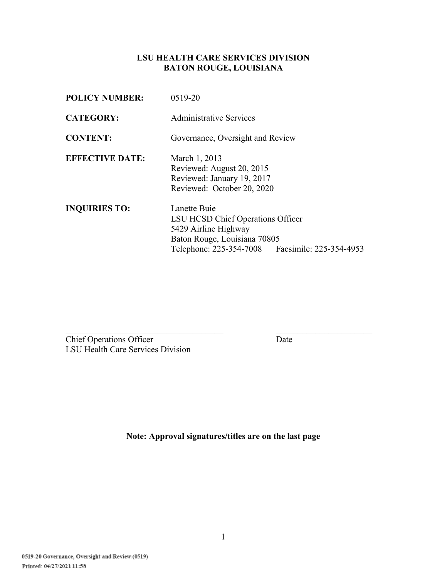# **LSU HEALTH CARE SERVICES DIVISION BATON ROUGE, LOUISIANA**

| <b>POLICY NUMBER:</b>  | 0519-20                                                                                                                                                      |
|------------------------|--------------------------------------------------------------------------------------------------------------------------------------------------------------|
| <b>CATEGORY:</b>       | <b>Administrative Services</b>                                                                                                                               |
| <b>CONTENT:</b>        | Governance, Oversight and Review                                                                                                                             |
| <b>EFFECTIVE DATE:</b> | March 1, 2013<br>Reviewed: August 20, 2015<br>Reviewed: January 19, 2017<br>Reviewed: October 20, 2020                                                       |
| <b>INQUIRIES TO:</b>   | Lanette Buie<br>LSU HCSD Chief Operations Officer<br>5429 Airline Highway<br>Baton Rouge, Louisiana 70805<br>Telephone: 225-354-7008 Facsimile: 225-354-4953 |

Chief Operations Officer Date LSU Health Care Services Division

**Note: Approval signatures/titles are on the last page**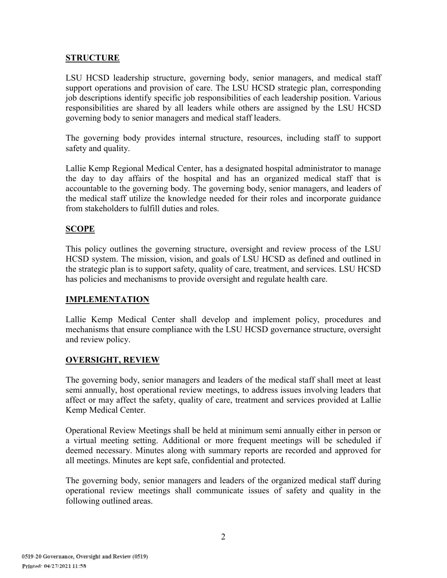## **STRUCTURE**

LSU HCSD leadership structure, governing body, senior managers, and medical staff support operations and provision of care. The LSU HCSD strategic plan, corresponding job descriptions identify specific job responsibilities of each leadership position. Various responsibilities are shared by all leaders while others are assigned by the LSU HCSD governing body to senior managers and medical staff leaders.

The governing body provides internal structure, resources, including staff to support safety and quality.

Lallie Kemp Regional Medical Center, has a designated hospital administrator to manage the day to day affairs of the hospital and has an organized medical staff that is accountable to the governing body. The governing body, senior managers, and leaders of the medical staff utilize the knowledge needed for their roles and incorporate guidance from stakeholders to fulfill duties and roles.

### **SCOPE**

This policy outlines the governing structure, oversight and review process of the LSU HCSD system. The mission, vision, and goals of LSU HCSD as defined and outlined in the strategic plan is to support safety, quality of care, treatment, and services. LSU HCSD has policies and mechanisms to provide oversight and regulate health care.

### **IMPLEMENTATION**

Lallie Kemp Medical Center shall develop and implement policy, procedures and mechanisms that ensure compliance with the LSU HCSD governance structure, oversight and review policy.

### **OVERSIGHT, REVIEW**

The governing body, senior managers and leaders of the medical staff shall meet at least semi annually, host operational review meetings, to address issues involving leaders that affect or may affect the safety, quality of care, treatment and services provided at Lallie Kemp Medical Center.

Operational Review Meetings shall be held at minimum semi annually either in person or a virtual meeting setting. Additional or more frequent meetings will be scheduled if deemed necessary. Minutes along with summary reports are recorded and approved for all meetings. Minutes are kept safe, confidential and protected.

The governing body, senior managers and leaders of the organized medical staff during operational review meetings shall communicate issues of safety and quality in the following outlined areas.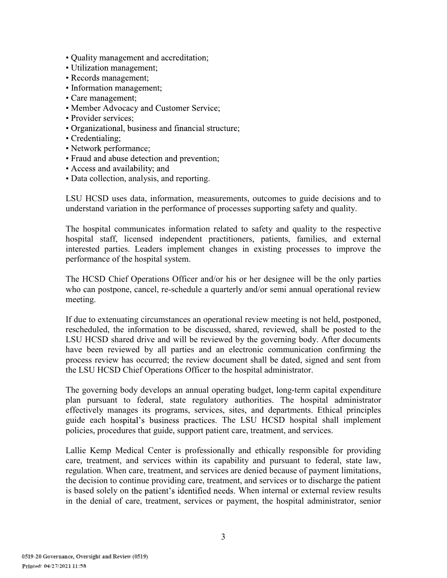- Quality management and accreditation;
- Utilization management;
- Records management;
- Information management;
- Care management;
- Member Advocacy and Customer Service;
- Provider services:
- Organizational, business and financial structure;
- Credentialing;
- Network performance;
- Fraud and abuse detection and prevention;
- Access and availability; and
- Data collection, analysis, and reporting.

LSU HCSD uses data, information, measurements, outcomes to guide decisions and to understand variation in the performance of processes supporting safety and quality.

The hospital communicates information related to safety and quality to the respective hospital staff, licensed independent practitioners, patients, families, and external interested parties. Leaders implement changes in existing processes to improve the performance of the hospital system.

The HCSD Chief Operations Officer and/or his or her designee will be the only parties who can postpone, cancel, re-schedule a quarterly and/or semi annual operational review meeting.

If due to extenuating circumstances an operational review meeting is not held, postponed, rescheduled, the information to be discussed, shared, reviewed, shall be posted to the LSU HCSD shared drive and will be reviewed by the governing body. After documents have been reviewed by all parties and an electronic communication confirming the process review has occurred; the review document shall be dated, signed and sent from the LSU HCSD Chief Operations Officer to the hospital administrator.

The governing body develops an annual operating budget, long-term capital expenditure plan pursuant to federal, state regulatory authorities. The hospital administrator effectively manages its programs, services, sites, and departments. Ethical principles guide each hospital's business practices. The LSU HCSD hospital shall implement policies, procedures that guide, support patient care, treatment, and services.

Lallie Kemp Medical Center is professionally and ethically responsible for providing care, treatment, and services within its capability and pursuant to federal, state law, regulation. When care, treatment, and services are denied because of payment limitations, the decision to continue providing care, treatment, and services or to discharge the patient is based solely on the patient's identified needs. When internal or external review results in the denial of care, treatment, services or payment, the hospital administrator, senior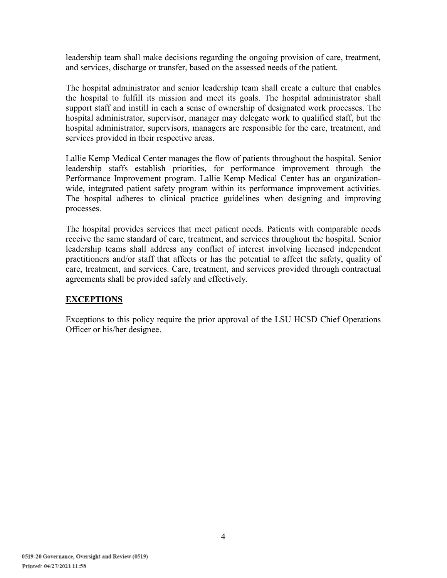leadership team shall make decisions regarding the ongoing provision of care, treatment, and services, discharge or transfer, based on the assessed needs of the patient.

The hospital administrator and senior leadership team shall create a culture that enables the hospital to fulfill its mission and meet its goals. The hospital administrator shall support staff and instill in each a sense of ownership of designated work processes. The hospital administrator, supervisor, manager may delegate work to qualified staff, but the hospital administrator, supervisors, managers are responsible for the care, treatment, and services provided in their respective areas.

Lallie Kemp Medical Center manages the flow of patients throughout the hospital. Senior leadership staffs establish priorities, for performance improvement through the Performance Improvement program. Lallie Kemp Medical Center has an organizationwide, integrated patient safety program within its performance improvement activities. The hospital adheres to clinical practice guidelines when designing and improving processes.

The hospital provides services that meet patient needs. Patients with comparable needs receive the same standard of care, treatment, and services throughout the hospital. Senior leadership teams shall address any conflict of interest involving licensed independent practitioners and/or staff that affects or has the potential to affect the safety, quality of care, treatment, and services. Care, treatment, and services provided through contractual agreements shall be provided safely and effectively.

## **EXCEPTIONS**

Exceptions to this policy require the prior approval of the LSU HCSD Chief Operations Officer or his/her designee.